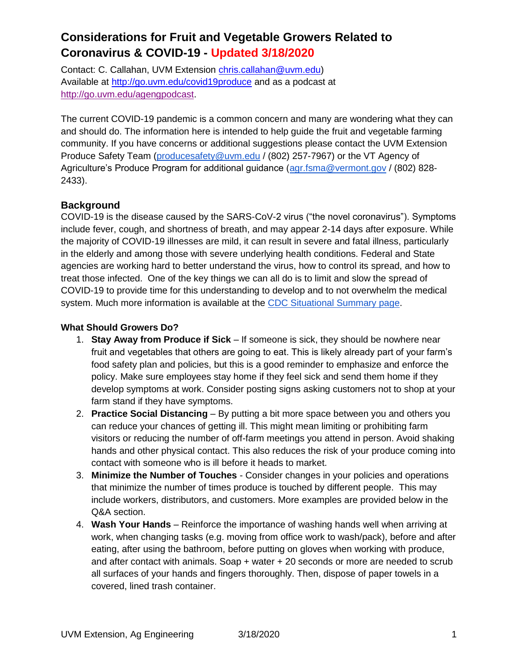Contact: C. Callahan, UVM Extension [chris.callahan@uvm.edu\)](mailto:chris.callahan@uvm.edu) Available at<http://go.uvm.edu/covid19produce> and as a podcast at [http://go.uvm.edu/agengpodcast.](http://go.uvm.edu/agengpodcast)

The current COVID-19 pandemic is a common concern and many are wondering what they can and should do. The information here is intended to help guide the fruit and vegetable farming community. If you have concerns or additional suggestions please contact the UVM Extension Produce Safety Team [\(producesafety@uvm.edu](mailto:producesafety@uvm.edu) / (802) 257-7967) or the VT Agency of Agriculture's Produce Program for additional guidance [\(agr.fsma@vermont.gov](mailto:agr.fsma@vermont.gov) / (802) 828-2433).

### **Background**

COVID-19 is the disease caused by the SARS-CoV-2 virus ("the novel coronavirus"). Symptoms include fever, cough, and shortness of breath, and may appear 2-14 days after exposure. While the majority of COVID-19 illnesses are mild, it can result in severe and fatal illness, particularly in the elderly and among those with severe underlying health conditions. Federal and State agencies are working hard to better understand the virus, how to control its spread, and how to treat those infected. One of the key things we can all do is to limit and slow the spread of COVID-19 to provide time for this understanding to develop and to not overwhelm the medical system. Much more information is available at the [CDC Situational Summary page.](https://www.cdc.gov/coronavirus/2019-ncov/summary.html)

#### **What Should Growers Do?**

- 1. **Stay Away from Produce if Sick**  If someone is sick, they should be nowhere near fruit and vegetables that others are going to eat. This is likely already part of your farm's food safety plan and policies, but this is a good reminder to emphasize and enforce the policy. Make sure employees stay home if they feel sick and send them home if they develop symptoms at work. Consider posting signs asking customers not to shop at your farm stand if they have symptoms.
- 2. **Practice Social Distancing** By putting a bit more space between you and others you can reduce your chances of getting ill. This might mean limiting or prohibiting farm visitors or reducing the number of off-farm meetings you attend in person. Avoid shaking hands and other physical contact. This also reduces the risk of your produce coming into contact with someone who is ill before it heads to market.
- 3. **Minimize the Number of Touches** Consider changes in your policies and operations that minimize the number of times produce is touched by different people. This may include workers, distributors, and customers. More examples are provided below in the Q&A section.
- 4. **Wash Your Hands**  Reinforce the importance of washing hands well when arriving at work, when changing tasks (e.g. moving from office work to wash/pack), before and after eating, after using the bathroom, before putting on gloves when working with produce, and after contact with animals. Soap + water + 20 seconds or more are needed to scrub all surfaces of your hands and fingers thoroughly. Then, dispose of paper towels in a covered, lined trash container.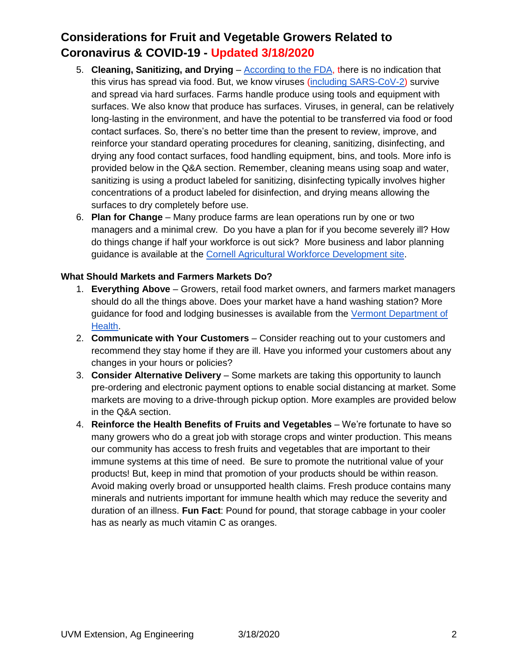- 5. **Cleaning, Sanitizing, and Drying** [According to the FDA,](https://www.fda.gov/emergency-preparedness-and-response/mcm-issues/coronavirus-disease-2019-covid-19-frequently-asked-questions#food) there is no indication that this virus has spread via food. But, we know viruses [\(including SARS-CoV-2\)](https://www.medrxiv.org/content/10.1101/2020.03.09.20033217v2?__cf_chl_jschl_tk__=c3e025a75f4d1b193762a9d087cffba0cd286b84-1584453434-0-Ae8U9EZKi2ynlFMEcjNpld_DijhLVXvvQCeNBxBNOKbCF6kMgAh4Grtae_ilQAj7Mz3MLJnrzunUHkeTiiPU3CeIH5zVyvGiKoSjeTq0VwC1M-p5lKeM4iAtgSUBshQY0Lu1CQ03UK0dWLU11dEDL63oh0godvGPpHIpGPP0FbbtiSJV_Pp9JjNIYi8pq-JjCqtEqukplHls7nqm6Lfj4TbTjRZQFNORb-kBQPVqeHmln2CcXOg51f1yVg03T7YMkLDl5cvXdbCN12qcsY0T3skqfW58FDMyMs7DHkXa1HZrwOCLVm-GwxRCGkfkRV-mYvHAhGBKs_1MdQ3f4E8WweY) survive and spread via hard surfaces. Farms handle produce using tools and equipment with surfaces. We also know that produce has surfaces. Viruses, in general, can be relatively long-lasting in the environment, and have the potential to be transferred via food or food contact surfaces. So, there's no better time than the present to review, improve, and reinforce your standard operating procedures for cleaning, sanitizing, disinfecting, and drying any food contact surfaces, food handling equipment, bins, and tools. More info is provided below in the Q&A section. Remember, cleaning means using soap and water, sanitizing is using a product labeled for sanitizing, disinfecting typically involves higher concentrations of a product labeled for disinfection, and drying means allowing the surfaces to dry completely before use.
- 6. **Plan for Change** Many produce farms are lean operations run by one or two managers and a minimal crew. Do you have a plan for if you become severely ill? How do things change if half your workforce is out sick? More business and labor planning guidance is available at th[e](https://agworkforce.cals.cornell.edu/2020/03/12/novel-coronavirus-prevention-control-for-farms/) [Cornell Agricultural Workforce Development site.](https://agworkforce.cals.cornell.edu/2020/03/12/novel-coronavirus-prevention-control-for-farms/)

#### **What Should Markets and Farmers Markets Do?**

- 1. **Everything Above** Growers, retail food market owners, and farmers market managers should do all the things above. Does your market have a hand washing station? More guidance for food and lodging businesses is available from th[e](https://www.healthvermont.gov/sites/default/files/documents/pdf/EH-COVID-19-Food-Lodging-Business-Fact-Sheet.pdf) [Vermont Department of](https://www.healthvermont.gov/sites/default/files/documents/pdf/EH-COVID-19-Food-Lodging-Business-Fact-Sheet.pdf)  [Health.](https://www.healthvermont.gov/sites/default/files/documents/pdf/EH-COVID-19-Food-Lodging-Business-Fact-Sheet.pdf)
- 2. **Communicate with Your Customers**  Consider reaching out to your customers and recommend they stay home if they are ill. Have you informed your customers about any changes in your hours or policies?
- 3. **Consider Alternative Delivery** Some markets are taking this opportunity to launch pre-ordering and electronic payment options to enable social distancing at market. Some markets are moving to a drive-through pickup option. More examples are provided below in the Q&A section.
- 4. **Reinforce the Health Benefits of Fruits and Vegetables** We're fortunate to have so many growers who do a great job with storage crops and winter production. This means our community has access to fresh fruits and vegetables that are important to their immune systems at this time of need. Be sure to promote the nutritional value of your products! But, keep in mind that promotion of your products should be within reason. Avoid making overly broad or unsupported health claims. Fresh produce contains many minerals and nutrients important for immune health which may reduce the severity and duration of an illness. **Fun Fact**: Pound for pound, that storage cabbage in your cooler has as nearly as much vitamin C as oranges.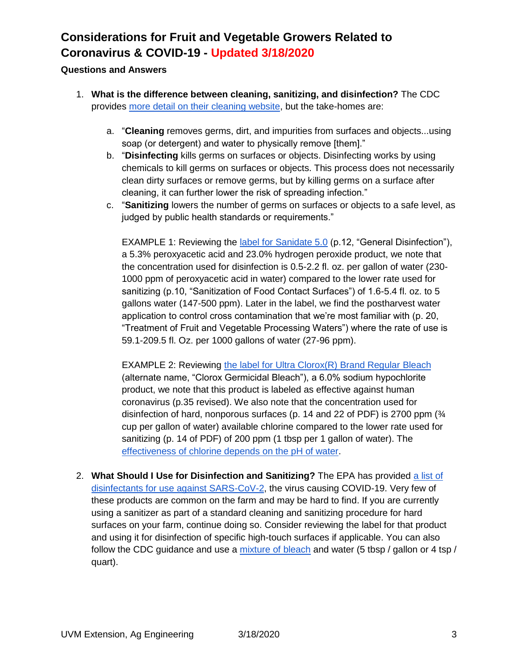#### **Questions and Answers**

- 1. **What is the difference between cleaning, sanitizing, and disinfection?** The CDC provides [more detail on their cleaning website,](https://www.cdc.gov/flu/school/cleaning.htm) but the take-homes are:
	- a. "**Cleaning** removes germs, dirt, and impurities from surfaces and objects...using soap (or detergent) and water to physically remove [them]."
	- b. "**Disinfecting** kills germs on surfaces or objects. Disinfecting works by using chemicals to kill germs on surfaces or objects. This process does not necessarily clean dirty surfaces or remove germs, but by killing germs on a surface after cleaning, it can further lower the risk of spreading infection."
	- c. "**Sanitizing** lowers the number of germs on surfaces or objects to a safe level, as judged by public health standards or requirements."

EXAMPLE 1: Reviewing the [label for Sanidate 5.0](https://www3.epa.gov/pesticides/chem_search/ppls/070299-00019-20190328.pdf) (p.12, "General Disinfection"), a 5.3% peroxyacetic acid and 23.0% hydrogen peroxide product, we note that the concentration used for disinfection is 0.5-2.2 fl. oz. per gallon of water (230- 1000 ppm of peroxyacetic acid in water) compared to the lower rate used for sanitizing (p.10, "Sanitization of Food Contact Surfaces") of 1.6-5.4 fl. oz. to 5 gallons water (147-500 ppm). Later in the label, we find the postharvest water application to control cross contamination that we're most familiar with (p. 20, "Treatment of Fruit and Vegetable Processing Waters") where the rate of use is 59.1-209.5 fl. Oz. per 1000 gallons of water (27-96 ppm).

EXAMPLE 2: Reviewing [the label for Ultra Clorox\(R\) Brand Regular Bleach](https://www3.epa.gov/pesticides/chem_search/ppls/005813-00050-20110303.pdf)  (alternate name, "Clorox Germicidal Bleach"), a 6.0% sodium hypochlorite product, we note that this product is labeled as effective against human coronavirus (p.35 revised). We also note that the concentration used for disinfection of hard, nonporous surfaces (p. 14 and 22 of PDF) is 2700 ppm (¾ cup per gallon of water) available chlorine compared to the lower rate used for sanitizing (p. 14 of PDF) of 200 ppm (1 tbsp per 1 gallon of water). The [effectiveness of chlorine depends on the pH of water.](https://ucfoodsafety.ucdavis.edu/sites/g/files/dgvnsk7366/files/inline-files/26414.pdf)

2. **What Should I Use for Disinfection and Sanitizing?** The EPA has provided [a list of](https://www.epa.gov/pesticide-registration/list-n-disinfectants-use-against-sars-cov-2)  [disinfectants for use against SARS-CoV-2,](https://www.epa.gov/pesticide-registration/list-n-disinfectants-use-against-sars-cov-2) the virus causing COVID-19. Very few of these products are common on the farm and may be hard to find. If you are currently using a sanitizer as part of a standard cleaning and sanitizing procedure for hard surfaces on your farm, continue doing so. Consider reviewing the label for that product and using it for disinfection of specific high-touch surfaces if applicable. You can also follow the CDC quidance and use a [mixture of bleach](https://www.cdc.gov/coronavirus/2019-ncov/prepare/cleaning-disinfection.html?CDC_AA_refVal=https%3A%2F%2Fwww.cdc.gov%2Fcoronavirus%2F2019-ncov%2Fcommunity%2Fhome%2Fcleaning-disinfection.html) and water (5 tbsp / gallon or 4 tsp / quart).